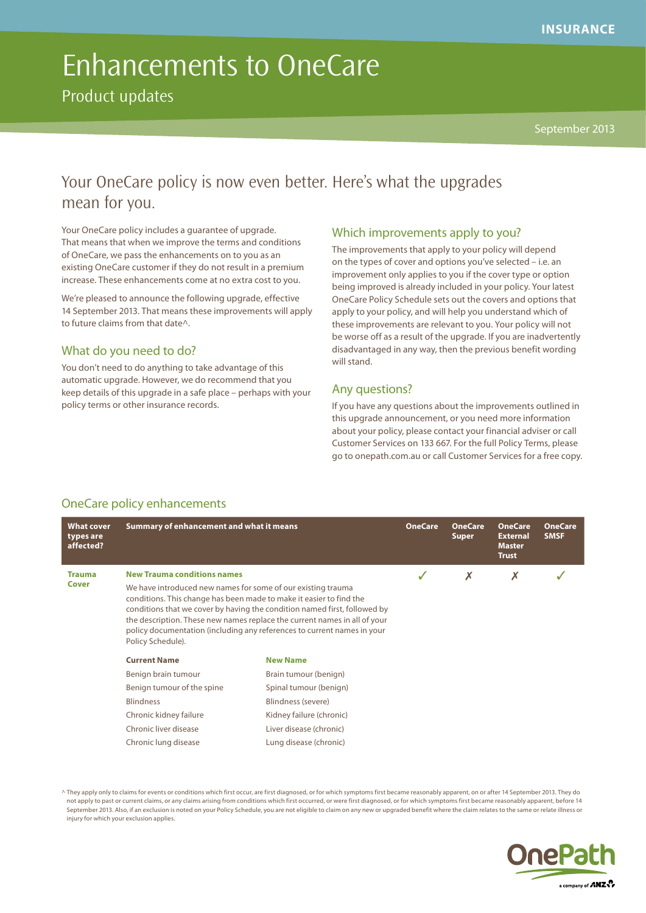# Enhancements to OneCare

# Product updates

# Your OneCare policy is now even better. Here's what the upgrades mean for you.

Your OneCare policy includes a guarantee of upgrade. That means that when we improve the terms and conditions of OneCare, we pass the enhancements on to you as an existing OneCare customer if they do not result in a premium increase. These enhancements come at no extra cost to you.

We're pleased to announce the following upgrade, effective 14 September 2013. That means these improvements will apply to future claims from that date^.

## What do you need to do?

You don't need to do anything to take advantage of this automatic upgrade. However, we do recommend that you keep details of this upgrade in a safe place – perhaps with your policy terms or other insurance records.

## Which improvements apply to you?

The improvements that apply to your policy will depend on the types of cover and options you've selected – i.e. an improvement only applies to you if the cover type or option being improved is already included in your policy. Your latest OneCare Policy Schedule sets out the covers and options that apply to your policy, and will help you understand which of these improvements are relevant to you. Your policy will not be worse off as a result of the upgrade. If you are inadvertently disadvantaged in any way, then the previous benefit wording will stand.

## Any questions?

If you have any questions about the improvements outlined in this upgrade announcement, or you need more information about your policy, please contact your financial adviser or call Customer Services on 133 667. For the full Policy Terms, please go to onepath.com.au or call Customer Services for a free copy.

#### OneCare policy enhancements

| <b>What cover</b><br>types are<br>affected? | Summary of enhancement and what it means                                                                                                                                                                                                                                                                                                                                                      |                          | <b>OneCare</b> | <b>OneCare</b><br><b>Super</b> | <b>OneCare</b><br><b>External</b><br><b>Master</b><br><b>Trust</b> | <b>OneCare</b><br><b>SMSF</b> |
|---------------------------------------------|-----------------------------------------------------------------------------------------------------------------------------------------------------------------------------------------------------------------------------------------------------------------------------------------------------------------------------------------------------------------------------------------------|--------------------------|----------------|--------------------------------|--------------------------------------------------------------------|-------------------------------|
| <b>Trauma</b><br>Cover                      | <b>New Trauma conditions names</b>                                                                                                                                                                                                                                                                                                                                                            |                          |                | X                              | Х                                                                  |                               |
|                                             | We have introduced new names for some of our existing trauma<br>conditions. This change has been made to make it easier to find the<br>conditions that we cover by having the condition named first, followed by<br>the description. These new names replace the current names in all of your<br>policy documentation (including any references to current names in your<br>Policy Schedule). |                          |                |                                |                                                                    |                               |
|                                             | <b>Current Name</b>                                                                                                                                                                                                                                                                                                                                                                           | <b>New Name</b>          |                |                                |                                                                    |                               |
|                                             | Benign brain tumour                                                                                                                                                                                                                                                                                                                                                                           | Brain tumour (benign)    |                |                                |                                                                    |                               |
|                                             | Benign tumour of the spine                                                                                                                                                                                                                                                                                                                                                                    | Spinal tumour (benign)   |                |                                |                                                                    |                               |
|                                             | <b>Blindness</b>                                                                                                                                                                                                                                                                                                                                                                              | Blindness (severe)       |                |                                |                                                                    |                               |
|                                             | Chronic kidney failure                                                                                                                                                                                                                                                                                                                                                                        | Kidney failure (chronic) |                |                                |                                                                    |                               |
|                                             | Chronic liver disease                                                                                                                                                                                                                                                                                                                                                                         | Liver disease (chronic)  |                |                                |                                                                    |                               |
|                                             | Chronic lung disease                                                                                                                                                                                                                                                                                                                                                                          | Lung disease (chronic)   |                |                                |                                                                    |                               |

^ They apply only to claims for events or conditions which first occur, are first diagnosed, or for which symptoms first became reasonably apparent, on or after 14 September 2013. They do not apply to past or current claims, or any claims arising from conditions which first occurred, or were first diagnosed, or for which symptoms first became reasonably apparent, before 14 September 2013. Also, if an exclusion is noted on your Policy Schedule, you are not eligible to claim on any new or upgraded benefit where the claim relates to the same or relate illness or injury for which your exclusion applies

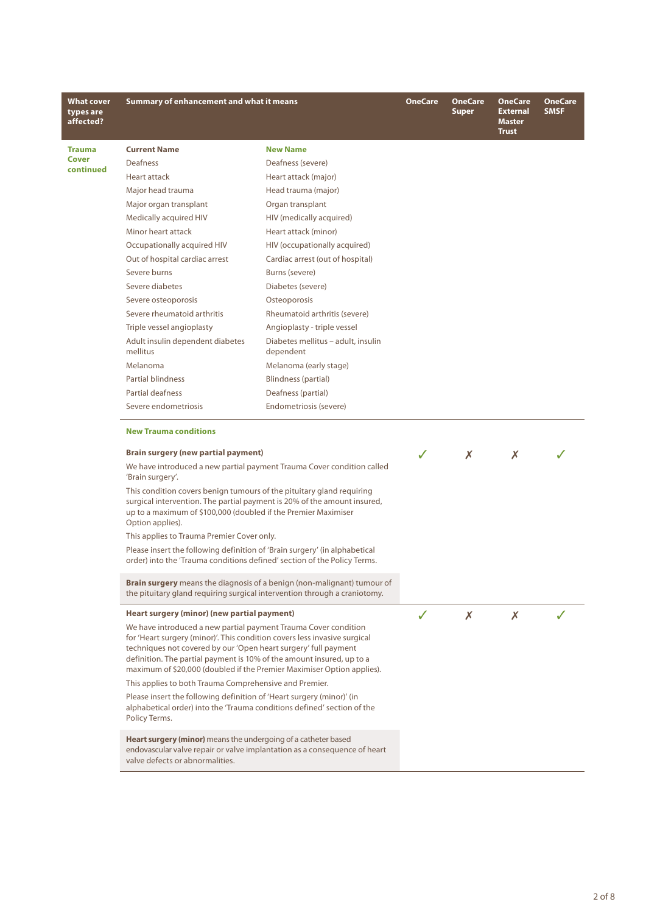| <b>What cover</b><br>types are<br>affected? | <b>Summary of enhancement and what it means</b>                                                                                                                                                                                                                                                                                                                    |                                                                                | <b>OneCare</b> | <b>OneCare</b><br><b>Super</b> | <b>OneCare</b><br><b>External</b><br><b>Master</b><br><b>Trust</b> | <b>OneCare</b><br><b>SMSF</b> |
|---------------------------------------------|--------------------------------------------------------------------------------------------------------------------------------------------------------------------------------------------------------------------------------------------------------------------------------------------------------------------------------------------------------------------|--------------------------------------------------------------------------------|----------------|--------------------------------|--------------------------------------------------------------------|-------------------------------|
| <b>Trauma</b>                               | <b>Current Name</b>                                                                                                                                                                                                                                                                                                                                                | <b>New Name</b>                                                                |                |                                |                                                                    |                               |
| Cover<br>continued                          | Deafness                                                                                                                                                                                                                                                                                                                                                           | Deafness (severe)                                                              |                |                                |                                                                    |                               |
|                                             | Heart attack                                                                                                                                                                                                                                                                                                                                                       | Heart attack (major)                                                           |                |                                |                                                                    |                               |
|                                             | Major head trauma                                                                                                                                                                                                                                                                                                                                                  | Head trauma (major)                                                            |                |                                |                                                                    |                               |
|                                             | Major organ transplant                                                                                                                                                                                                                                                                                                                                             | Organ transplant                                                               |                |                                |                                                                    |                               |
|                                             | Medically acquired HIV                                                                                                                                                                                                                                                                                                                                             | HIV (medically acquired)                                                       |                |                                |                                                                    |                               |
|                                             | Minor heart attack                                                                                                                                                                                                                                                                                                                                                 | Heart attack (minor)                                                           |                |                                |                                                                    |                               |
|                                             | Occupationally acquired HIV                                                                                                                                                                                                                                                                                                                                        | HIV (occupationally acquired)                                                  |                |                                |                                                                    |                               |
|                                             | Out of hospital cardiac arrest                                                                                                                                                                                                                                                                                                                                     | Cardiac arrest (out of hospital)                                               |                |                                |                                                                    |                               |
|                                             | Severe burns                                                                                                                                                                                                                                                                                                                                                       | Burns (severe)                                                                 |                |                                |                                                                    |                               |
|                                             | Severe diabetes                                                                                                                                                                                                                                                                                                                                                    | Diabetes (severe)                                                              |                |                                |                                                                    |                               |
|                                             | Severe osteoporosis                                                                                                                                                                                                                                                                                                                                                | Osteoporosis                                                                   |                |                                |                                                                    |                               |
|                                             | Severe rheumatoid arthritis                                                                                                                                                                                                                                                                                                                                        | Rheumatoid arthritis (severe)                                                  |                |                                |                                                                    |                               |
|                                             | Triple vessel angioplasty                                                                                                                                                                                                                                                                                                                                          | Angioplasty - triple vessel                                                    |                |                                |                                                                    |                               |
|                                             | Adult insulin dependent diabetes<br>mellitus                                                                                                                                                                                                                                                                                                                       | Diabetes mellitus - adult, insulin<br>dependent                                |                |                                |                                                                    |                               |
|                                             | Melanoma                                                                                                                                                                                                                                                                                                                                                           | Melanoma (early stage)                                                         |                |                                |                                                                    |                               |
|                                             | <b>Partial blindness</b>                                                                                                                                                                                                                                                                                                                                           | Blindness (partial)                                                            |                |                                |                                                                    |                               |
|                                             | Partial deafness                                                                                                                                                                                                                                                                                                                                                   | Deafness (partial)                                                             |                |                                |                                                                    |                               |
|                                             | Severe endometriosis                                                                                                                                                                                                                                                                                                                                               | Endometriosis (severe)                                                         |                |                                |                                                                    |                               |
|                                             | <b>New Trauma conditions</b>                                                                                                                                                                                                                                                                                                                                       |                                                                                |                |                                |                                                                    |                               |
|                                             | <b>Brain surgery (new partial payment)</b><br>We have introduced a new partial payment Trauma Cover condition called                                                                                                                                                                                                                                               |                                                                                | $\checkmark$   | Х                              | X                                                                  |                               |
|                                             | 'Brain surgery'.<br>This condition covers benign tumours of the pituitary gland requiring<br>surgical intervention. The partial payment is 20% of the amount insured,<br>up to a maximum of \$100,000 (doubled if the Premier Maximiser<br>Option applies).                                                                                                        |                                                                                |                |                                |                                                                    |                               |
|                                             | This applies to Trauma Premier Cover only.                                                                                                                                                                                                                                                                                                                         |                                                                                |                |                                |                                                                    |                               |
|                                             | Please insert the following definition of 'Brain surgery' (in alphabetical<br>order) into the 'Trauma conditions defined' section of the Policy Terms.                                                                                                                                                                                                             |                                                                                |                |                                |                                                                    |                               |
|                                             | the pituitary gland requiring surgical intervention through a craniotomy.                                                                                                                                                                                                                                                                                          | <b>Brain surgery</b> means the diagnosis of a benign (non-malignant) tumour of |                |                                |                                                                    |                               |
|                                             | Heart surgery (minor) (new partial payment)                                                                                                                                                                                                                                                                                                                        |                                                                                | $\checkmark$   | Х                              | X                                                                  |                               |
|                                             | We have introduced a new partial payment Trauma Cover condition<br>for 'Heart surgery (minor)'. This condition covers less invasive surgical<br>techniques not covered by our 'Open heart surgery' full payment<br>definition. The partial payment is 10% of the amount insured, up to a<br>maximum of \$20,000 (doubled if the Premier Maximiser Option applies). |                                                                                |                |                                |                                                                    |                               |
|                                             | This applies to both Trauma Comprehensive and Premier.                                                                                                                                                                                                                                                                                                             |                                                                                |                |                                |                                                                    |                               |
|                                             | Please insert the following definition of 'Heart surgery (minor)' (in<br>alphabetical order) into the 'Trauma conditions defined' section of the<br>Policy Terms.                                                                                                                                                                                                  |                                                                                |                |                                |                                                                    |                               |
|                                             | Heart surgery (minor) means the undergoing of a catheter based<br>endovascular valve repair or valve implantation as a consequence of heart<br>valve defects or abnormalities.                                                                                                                                                                                     |                                                                                |                |                                |                                                                    |                               |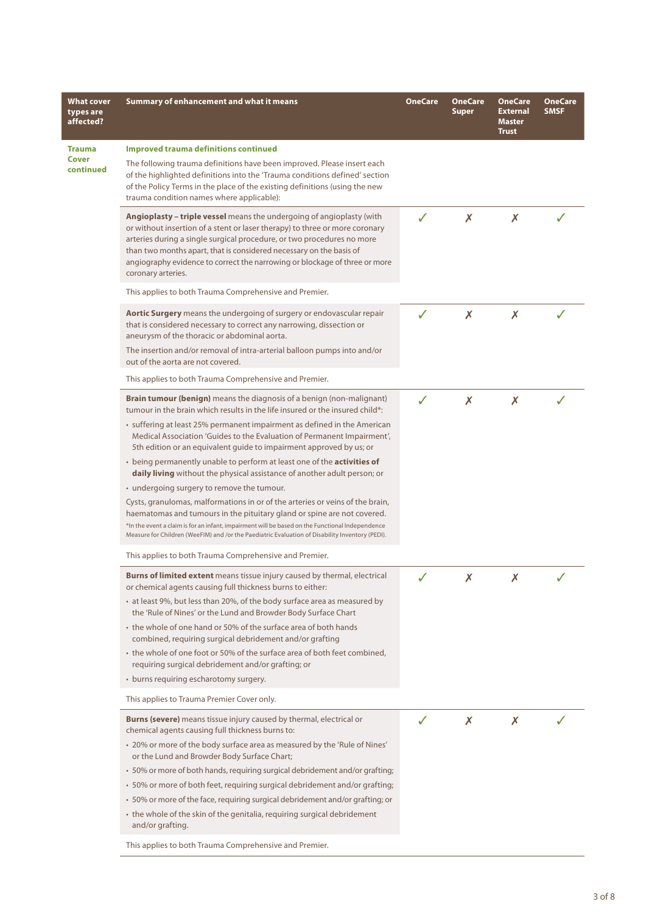| <b>What cover</b><br>types are<br>affected? | <b>Summary of enhancement and what it means</b>                                                                                                                                                                                                                                                                                                                                                           | <b>OneCare</b> | <b>OneCare</b><br><b>Super</b> | <b>OneCare</b><br><b>External</b><br><b>Master</b><br><b>Trust</b> | <b>OneCare</b><br><b>SMSF</b> |
|---------------------------------------------|-----------------------------------------------------------------------------------------------------------------------------------------------------------------------------------------------------------------------------------------------------------------------------------------------------------------------------------------------------------------------------------------------------------|----------------|--------------------------------|--------------------------------------------------------------------|-------------------------------|
| <b>Trauma</b>                               | <b>Improved trauma definitions continued</b>                                                                                                                                                                                                                                                                                                                                                              |                |                                |                                                                    |                               |
| Cover<br>continued                          | The following trauma definitions have been improved. Please insert each<br>of the highlighted definitions into the 'Trauma conditions defined' section<br>of the Policy Terms in the place of the existing definitions (using the new<br>trauma condition names where applicable):                                                                                                                        |                |                                |                                                                    |                               |
|                                             | Angioplasty - triple vessel means the undergoing of angioplasty (with<br>or without insertion of a stent or laser therapy) to three or more coronary<br>arteries during a single surgical procedure, or two procedures no more<br>than two months apart, that is considered necessary on the basis of<br>angiography evidence to correct the narrowing or blockage of three or more<br>coronary arteries. |                | X                              | Х                                                                  |                               |
|                                             | This applies to both Trauma Comprehensive and Premier.                                                                                                                                                                                                                                                                                                                                                    |                |                                |                                                                    |                               |
|                                             | Aortic Surgery means the undergoing of surgery or endovascular repair<br>that is considered necessary to correct any narrowing, dissection or<br>aneurysm of the thoracic or abdominal aorta.                                                                                                                                                                                                             | J              | X                              | X                                                                  |                               |
|                                             | The insertion and/or removal of intra-arterial balloon pumps into and/or<br>out of the aorta are not covered.                                                                                                                                                                                                                                                                                             |                |                                |                                                                    |                               |
|                                             | This applies to both Trauma Comprehensive and Premier.                                                                                                                                                                                                                                                                                                                                                    |                |                                |                                                                    |                               |
|                                             | Brain tumour (benign) means the diagnosis of a benign (non-malignant)<br>tumour in the brain which results in the life insured or the insured child*:                                                                                                                                                                                                                                                     |                | Х                              | Х                                                                  |                               |
|                                             | • suffering at least 25% permanent impairment as defined in the American<br>Medical Association 'Guides to the Evaluation of Permanent Impairment',<br>5th edition or an equivalent guide to impairment approved by us; or                                                                                                                                                                                |                |                                |                                                                    |                               |
|                                             | • being permanently unable to perform at least one of the activities of<br>daily living without the physical assistance of another adult person; or                                                                                                                                                                                                                                                       |                |                                |                                                                    |                               |
|                                             | • undergoing surgery to remove the tumour.                                                                                                                                                                                                                                                                                                                                                                |                |                                |                                                                    |                               |
|                                             | Cysts, granulomas, malformations in or of the arteries or veins of the brain,<br>haematomas and tumours in the pituitary gland or spine are not covered.<br>*In the event a claim is for an infant, impairment will be based on the Functional Independence<br>Measure for Children (WeeFIM) and /or the Paediatric Evaluation of Disability Inventory (PEDI).                                            |                |                                |                                                                    |                               |
|                                             | This applies to both Trauma Comprehensive and Premier.                                                                                                                                                                                                                                                                                                                                                    |                |                                |                                                                    |                               |
|                                             | Burns of limited extent means tissue injury caused by thermal, electrical<br>or chemical agents causing full thickness burns to either:                                                                                                                                                                                                                                                                   |                | x                              | x.                                                                 |                               |
|                                             | • at least 9%, but less than 20%, of the body surface area as measured by<br>the 'Rule of Nines' or the Lund and Browder Body Surface Chart                                                                                                                                                                                                                                                               |                |                                |                                                                    |                               |
|                                             | • the whole of one hand or 50% of the surface area of both hands<br>combined, requiring surgical debridement and/or grafting                                                                                                                                                                                                                                                                              |                |                                |                                                                    |                               |
|                                             | • the whole of one foot or 50% of the surface area of both feet combined,<br>requiring surgical debridement and/or grafting; or                                                                                                                                                                                                                                                                           |                |                                |                                                                    |                               |
|                                             | • burns requiring escharotomy surgery.                                                                                                                                                                                                                                                                                                                                                                    |                |                                |                                                                    |                               |
|                                             | This applies to Trauma Premier Cover only.                                                                                                                                                                                                                                                                                                                                                                |                |                                |                                                                    |                               |
|                                             | <b>Burns (severe)</b> means tissue injury caused by thermal, electrical or<br>chemical agents causing full thickness burns to:                                                                                                                                                                                                                                                                            | J              | Х                              | X                                                                  |                               |
|                                             | • 20% or more of the body surface area as measured by the 'Rule of Nines'<br>or the Lund and Browder Body Surface Chart;                                                                                                                                                                                                                                                                                  |                |                                |                                                                    |                               |
|                                             | • 50% or more of both hands, requiring surgical debridement and/or grafting;                                                                                                                                                                                                                                                                                                                              |                |                                |                                                                    |                               |
|                                             | • 50% or more of both feet, requiring surgical debridement and/or grafting;                                                                                                                                                                                                                                                                                                                               |                |                                |                                                                    |                               |
|                                             | • 50% or more of the face, requiring surgical debridement and/or grafting; or<br>• the whole of the skin of the genitalia, requiring surgical debridement<br>and/or grafting.                                                                                                                                                                                                                             |                |                                |                                                                    |                               |
|                                             | This applies to both Trauma Comprehensive and Premier.                                                                                                                                                                                                                                                                                                                                                    |                |                                |                                                                    |                               |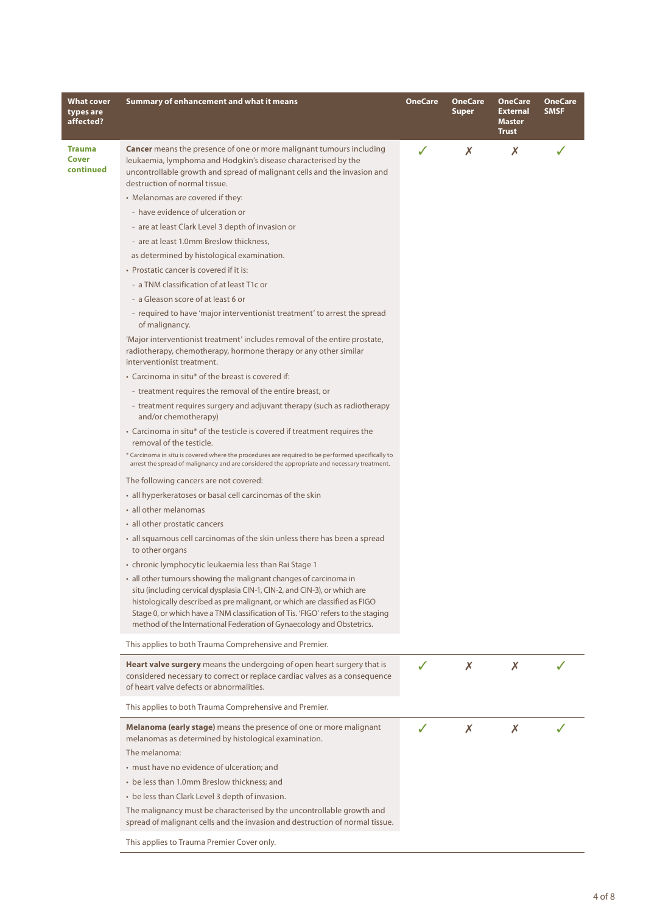| What cover<br>types are<br>affected? | Summary of enhancement and what it means                                                                                                                                                                                                                                                                                                                                                  | <b>OneCare</b> | <b>OneCare</b><br><b>Super</b> | <b>OneCare</b><br><b>External</b><br>Master<br><b>Trust</b> | <b>OneCare</b><br><b>SMSF</b> |
|--------------------------------------|-------------------------------------------------------------------------------------------------------------------------------------------------------------------------------------------------------------------------------------------------------------------------------------------------------------------------------------------------------------------------------------------|----------------|--------------------------------|-------------------------------------------------------------|-------------------------------|
| Trauma<br>Cover<br>continued         | <b>Cancer</b> means the presence of one or more malignant tumours including<br>leukaemia, lymphoma and Hodgkin's disease characterised by the<br>uncontrollable growth and spread of malignant cells and the invasion and<br>destruction of normal tissue.                                                                                                                                | J              | Х                              | Х                                                           |                               |
|                                      | • Melanomas are covered if they:                                                                                                                                                                                                                                                                                                                                                          |                |                                |                                                             |                               |
|                                      | - have evidence of ulceration or                                                                                                                                                                                                                                                                                                                                                          |                |                                |                                                             |                               |
|                                      | - are at least Clark Level 3 depth of invasion or                                                                                                                                                                                                                                                                                                                                         |                |                                |                                                             |                               |
|                                      | - are at least 1.0mm Breslow thickness,                                                                                                                                                                                                                                                                                                                                                   |                |                                |                                                             |                               |
|                                      | as determined by histological examination.                                                                                                                                                                                                                                                                                                                                                |                |                                |                                                             |                               |
|                                      | • Prostatic cancer is covered if it is:                                                                                                                                                                                                                                                                                                                                                   |                |                                |                                                             |                               |
|                                      | - a TNM classification of at least T1c or                                                                                                                                                                                                                                                                                                                                                 |                |                                |                                                             |                               |
|                                      | - a Gleason score of at least 6 or                                                                                                                                                                                                                                                                                                                                                        |                |                                |                                                             |                               |
|                                      | - required to have 'major interventionist treatment' to arrest the spread<br>of malignancy.                                                                                                                                                                                                                                                                                               |                |                                |                                                             |                               |
|                                      | 'Major interventionist treatment' includes removal of the entire prostate,<br>radiotherapy, chemotherapy, hormone therapy or any other similar<br>interventionist treatment.                                                                                                                                                                                                              |                |                                |                                                             |                               |
|                                      | • Carcinoma in situ* of the breast is covered if:                                                                                                                                                                                                                                                                                                                                         |                |                                |                                                             |                               |
|                                      | - treatment requires the removal of the entire breast, or                                                                                                                                                                                                                                                                                                                                 |                |                                |                                                             |                               |
|                                      | - treatment requires surgery and adjuvant therapy (such as radiotherapy<br>and/or chemotherapy)                                                                                                                                                                                                                                                                                           |                |                                |                                                             |                               |
|                                      | • Carcinoma in situ* of the testicle is covered if treatment requires the<br>removal of the testicle.                                                                                                                                                                                                                                                                                     |                |                                |                                                             |                               |
|                                      | * Carcinoma in situ is covered where the procedures are required to be performed specifically to<br>arrest the spread of malignancy and are considered the appropriate and necessary treatment.                                                                                                                                                                                           |                |                                |                                                             |                               |
|                                      | The following cancers are not covered:                                                                                                                                                                                                                                                                                                                                                    |                |                                |                                                             |                               |
|                                      | • all hyperkeratoses or basal cell carcinomas of the skin                                                                                                                                                                                                                                                                                                                                 |                |                                |                                                             |                               |
|                                      | · all other melanomas                                                                                                                                                                                                                                                                                                                                                                     |                |                                |                                                             |                               |
|                                      | • all other prostatic cancers                                                                                                                                                                                                                                                                                                                                                             |                |                                |                                                             |                               |
|                                      | • all squamous cell carcinomas of the skin unless there has been a spread<br>to other organs                                                                                                                                                                                                                                                                                              |                |                                |                                                             |                               |
|                                      | • chronic lymphocytic leukaemia less than Rai Stage 1                                                                                                                                                                                                                                                                                                                                     |                |                                |                                                             |                               |
|                                      | • all other tumours showing the malignant changes of carcinoma in<br>situ (including cervical dysplasia CIN-1, CIN-2, and CIN-3), or which are<br>histologically described as pre malignant, or which are classified as FIGO<br>Stage 0, or which have a TNM classification of Tis. 'FIGO' refers to the staging<br>method of the International Federation of Gynaecology and Obstetrics. |                |                                |                                                             |                               |
|                                      | This applies to both Trauma Comprehensive and Premier.                                                                                                                                                                                                                                                                                                                                    |                |                                |                                                             |                               |
|                                      | Heart valve surgery means the undergoing of open heart surgery that is<br>considered necessary to correct or replace cardiac valves as a consequence<br>of heart valve defects or abnormalities.                                                                                                                                                                                          | J              | Х                              | X                                                           |                               |
|                                      | This applies to both Trauma Comprehensive and Premier.                                                                                                                                                                                                                                                                                                                                    |                |                                |                                                             |                               |
|                                      | Melanoma (early stage) means the presence of one or more malignant<br>melanomas as determined by histological examination.                                                                                                                                                                                                                                                                |                | Х                              | Х                                                           |                               |
|                                      | The melanoma:                                                                                                                                                                                                                                                                                                                                                                             |                |                                |                                                             |                               |
|                                      | • must have no evidence of ulceration; and                                                                                                                                                                                                                                                                                                                                                |                |                                |                                                             |                               |
|                                      | • be less than 1.0mm Breslow thickness; and                                                                                                                                                                                                                                                                                                                                               |                |                                |                                                             |                               |
|                                      | • be less than Clark Level 3 depth of invasion.                                                                                                                                                                                                                                                                                                                                           |                |                                |                                                             |                               |
|                                      | The malignancy must be characterised by the uncontrollable growth and<br>spread of malignant cells and the invasion and destruction of normal tissue.                                                                                                                                                                                                                                     |                |                                |                                                             |                               |
|                                      | This applies to Trauma Premier Cover only.                                                                                                                                                                                                                                                                                                                                                |                |                                |                                                             |                               |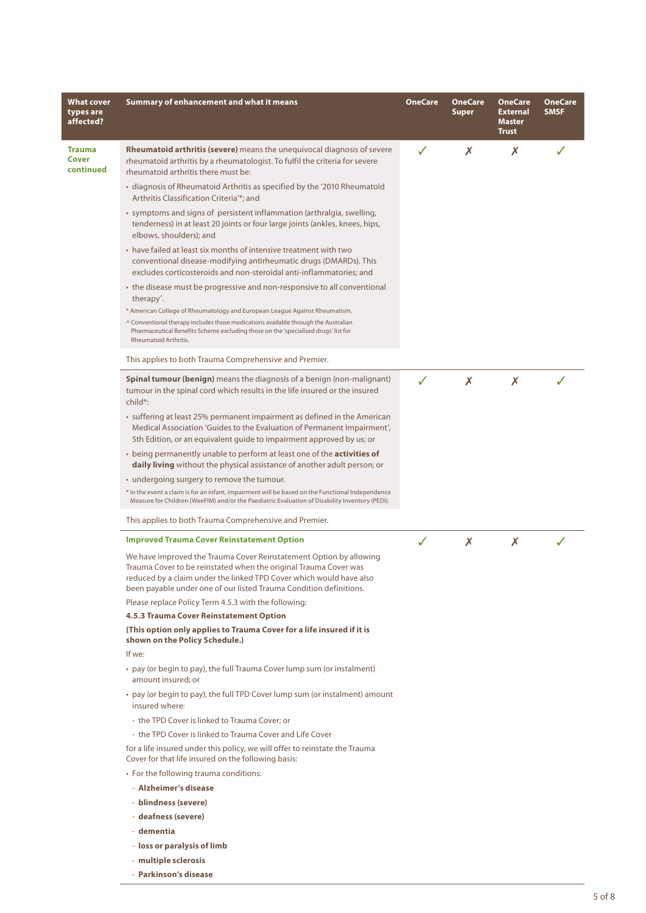| What cover<br>types are<br>affected? | Summary of enhancement and what it means                                                                                                                                                                                                                                            | <b>OneCare</b> | <b>OneCare</b><br>Super | <b>OneCare</b><br><b>External</b><br><b>Master</b><br><b>Trust</b> | <b>OneCare</b><br><b>SMSF</b> |
|--------------------------------------|-------------------------------------------------------------------------------------------------------------------------------------------------------------------------------------------------------------------------------------------------------------------------------------|----------------|-------------------------|--------------------------------------------------------------------|-------------------------------|
| <b>Trauma</b><br>Cover<br>continued  | Rheumatoid arthritis (severe) means the unequivocal diagnosis of severe<br>rheumatoid arthritis by a rheumatologist. To fulfil the criteria for severe<br>rheumatoid arthritis there must be:                                                                                       | ✓              | X                       | Х                                                                  |                               |
|                                      | · diagnosis of Rheumatoid Arthritis as specified by the '2010 Rheumatoid<br>Arthritis Classification Criteria'*; and                                                                                                                                                                |                |                         |                                                                    |                               |
|                                      | · symptoms and signs of persistent inflammation (arthralgia, swelling,<br>tenderness) in at least 20 joints or four large joints (ankles, knees, hips,<br>elbows, shoulders); and                                                                                                   |                |                         |                                                                    |                               |
|                                      | • have failed at least six months of intensive treatment with two<br>conventional disease-modifying antirheumatic drugs (DMARDs). This<br>excludes corticosteroids and non-steroidal anti-inflammatories; and                                                                       |                |                         |                                                                    |                               |
|                                      | • the disease must be progressive and non-responsive to all conventional<br>therapy <sup>1</sup> .<br>* American College of Rheumatology and European League Against Rheumatism.                                                                                                    |                |                         |                                                                    |                               |
|                                      | ^ Conventional therapy includes those medications available through the Australian<br>Pharmaceutical Benefits Scheme excluding those on the 'specialised drugs' list for<br>Rheumatoid Arthritis.                                                                                   |                |                         |                                                                    |                               |
|                                      | This applies to both Trauma Comprehensive and Premier.                                                                                                                                                                                                                              |                |                         |                                                                    |                               |
|                                      | <b>Spinal tumour (benign)</b> means the diagnosis of a benign (non-malignant)<br>tumour in the spinal cord which results in the life insured or the insured<br>child*:                                                                                                              | $\checkmark$   | X                       | X                                                                  | J                             |
|                                      | • suffering at least 25% permanent impairment as defined in the American<br>Medical Association 'Guides to the Evaluation of Permanent Impairment',<br>5th Edition, or an equivalent guide to impairment approved by us; or                                                         |                |                         |                                                                    |                               |
|                                      | • being permanently unable to perform at least one of the activities of<br>daily living without the physical assistance of another adult person; or                                                                                                                                 |                |                         |                                                                    |                               |
|                                      | • undergoing surgery to remove the tumour.<br>* In the event a claim is for an infant, impairment will be based on the Functional Independence<br>Measure for Children (WeeFIM) and/or the Paediatric Evaluation of Disability Inventory (PEDI).                                    |                |                         |                                                                    |                               |
|                                      | This applies to both Trauma Comprehensive and Premier.                                                                                                                                                                                                                              |                |                         |                                                                    |                               |
|                                      | <b>Improved Trauma Cover Reinstatement Option</b>                                                                                                                                                                                                                                   | J              | X                       | Х                                                                  |                               |
|                                      | We have improved the Trauma Cover Reinstatement Option by allowing<br>Trauma Cover to be reinstated when the original Trauma Cover was<br>reduced by a claim under the linked TPD Cover which would have also<br>been payable under one of our listed Trauma Condition definitions. |                |                         |                                                                    |                               |
|                                      | Please replace Policy Term 4.5.3 with the following:                                                                                                                                                                                                                                |                |                         |                                                                    |                               |
|                                      | <b>4.5.3 Trauma Cover Reinstatement Option</b>                                                                                                                                                                                                                                      |                |                         |                                                                    |                               |
|                                      | (This option only applies to Trauma Cover for a life insured if it is<br>shown on the Policy Schedule.)                                                                                                                                                                             |                |                         |                                                                    |                               |
|                                      | If we:                                                                                                                                                                                                                                                                              |                |                         |                                                                    |                               |
|                                      | • pay (or begin to pay), the full Trauma Cover lump sum (or instalment)<br>amount insured; or                                                                                                                                                                                       |                |                         |                                                                    |                               |
|                                      | • pay (or begin to pay), the full TPD Cover lump sum (or instalment) amount<br>insured where:                                                                                                                                                                                       |                |                         |                                                                    |                               |
|                                      | - the TPD Cover is linked to Trauma Cover; or                                                                                                                                                                                                                                       |                |                         |                                                                    |                               |
|                                      | - the TPD Cover is linked to Trauma Cover and Life Cover                                                                                                                                                                                                                            |                |                         |                                                                    |                               |
|                                      | for a life insured under this policy, we will offer to reinstate the Trauma<br>Cover for that life insured on the following basis:                                                                                                                                                  |                |                         |                                                                    |                               |
|                                      | • For the following trauma conditions:                                                                                                                                                                                                                                              |                |                         |                                                                    |                               |
|                                      | - Alzheimer's disease                                                                                                                                                                                                                                                               |                |                         |                                                                    |                               |
|                                      | - blindness (severe)                                                                                                                                                                                                                                                                |                |                         |                                                                    |                               |
|                                      | - deafness (severe)                                                                                                                                                                                                                                                                 |                |                         |                                                                    |                               |
|                                      | - dementia                                                                                                                                                                                                                                                                          |                |                         |                                                                    |                               |
|                                      | - loss or paralysis of limb                                                                                                                                                                                                                                                         |                |                         |                                                                    |                               |
|                                      | - multiple sclerosis                                                                                                                                                                                                                                                                |                |                         |                                                                    |                               |
|                                      | - Parkinson's disease                                                                                                                                                                                                                                                               |                |                         |                                                                    |                               |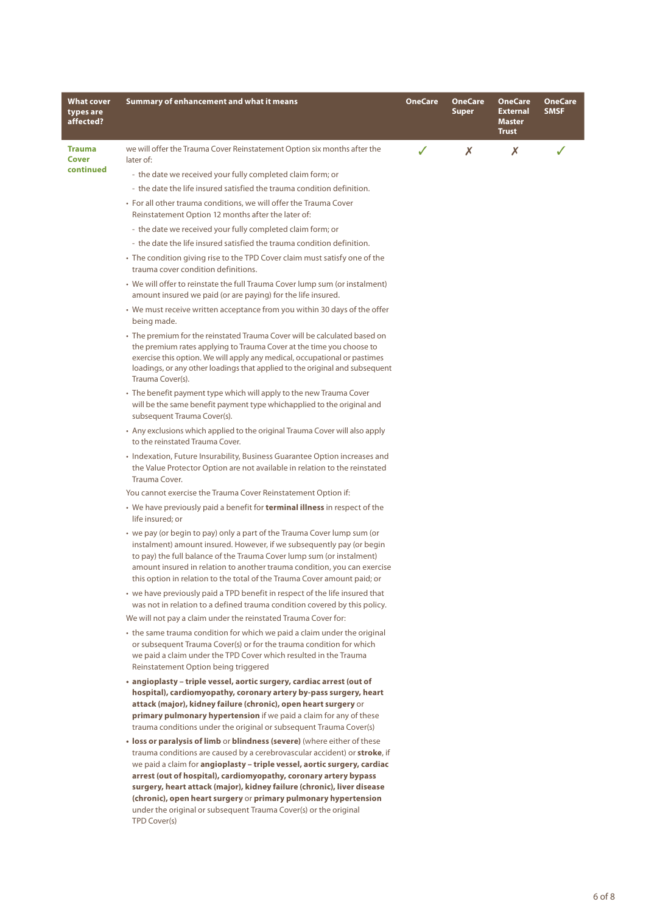| What cover<br>types are<br>affected? | Summary of enhancement and what it means                                                                                                                                                                                                                                                                                                                                                                                                                                                                                               | <b>OneCare</b> | <b>OneCare</b><br><b>Super</b> | <b>OneCare</b><br><b>External</b><br><b>Master</b><br><b>Trust</b> | <b>OneCare</b><br><b>SMSF</b> |
|--------------------------------------|----------------------------------------------------------------------------------------------------------------------------------------------------------------------------------------------------------------------------------------------------------------------------------------------------------------------------------------------------------------------------------------------------------------------------------------------------------------------------------------------------------------------------------------|----------------|--------------------------------|--------------------------------------------------------------------|-------------------------------|
| <b>Trauma</b><br>Cover<br>continued  | we will offer the Trauma Cover Reinstatement Option six months after the<br>later of:                                                                                                                                                                                                                                                                                                                                                                                                                                                  | J              | X                              | X                                                                  | ✓                             |
|                                      | - the date we received your fully completed claim form; or                                                                                                                                                                                                                                                                                                                                                                                                                                                                             |                |                                |                                                                    |                               |
|                                      | - the date the life insured satisfied the trauma condition definition.                                                                                                                                                                                                                                                                                                                                                                                                                                                                 |                |                                |                                                                    |                               |
|                                      | • For all other trauma conditions, we will offer the Trauma Cover<br>Reinstatement Option 12 months after the later of:                                                                                                                                                                                                                                                                                                                                                                                                                |                |                                |                                                                    |                               |
|                                      | - the date we received your fully completed claim form; or                                                                                                                                                                                                                                                                                                                                                                                                                                                                             |                |                                |                                                                    |                               |
|                                      | - the date the life insured satisfied the trauma condition definition.                                                                                                                                                                                                                                                                                                                                                                                                                                                                 |                |                                |                                                                    |                               |
|                                      | • The condition giving rise to the TPD Cover claim must satisfy one of the<br>trauma cover condition definitions.                                                                                                                                                                                                                                                                                                                                                                                                                      |                |                                |                                                                    |                               |
|                                      | • We will offer to reinstate the full Trauma Cover lump sum (or instalment)<br>amount insured we paid (or are paying) for the life insured.                                                                                                                                                                                                                                                                                                                                                                                            |                |                                |                                                                    |                               |
|                                      | • We must receive written acceptance from you within 30 days of the offer<br>being made.                                                                                                                                                                                                                                                                                                                                                                                                                                               |                |                                |                                                                    |                               |
|                                      | • The premium for the reinstated Trauma Cover will be calculated based on<br>the premium rates applying to Trauma Cover at the time you choose to<br>exercise this option. We will apply any medical, occupational or pastimes<br>loadings, or any other loadings that applied to the original and subsequent<br>Trauma Cover(s).                                                                                                                                                                                                      |                |                                |                                                                    |                               |
|                                      | • The benefit payment type which will apply to the new Trauma Cover<br>will be the same benefit payment type whichapplied to the original and<br>subsequent Trauma Cover(s).                                                                                                                                                                                                                                                                                                                                                           |                |                                |                                                                    |                               |
|                                      | • Any exclusions which applied to the original Trauma Cover will also apply<br>to the reinstated Trauma Cover.                                                                                                                                                                                                                                                                                                                                                                                                                         |                |                                |                                                                    |                               |
|                                      | • Indexation, Future Insurability, Business Guarantee Option increases and<br>the Value Protector Option are not available in relation to the reinstated<br>Trauma Cover.                                                                                                                                                                                                                                                                                                                                                              |                |                                |                                                                    |                               |
|                                      | You cannot exercise the Trauma Cover Reinstatement Option if:                                                                                                                                                                                                                                                                                                                                                                                                                                                                          |                |                                |                                                                    |                               |
|                                      | • We have previously paid a benefit for terminal illness in respect of the<br>life insured; or                                                                                                                                                                                                                                                                                                                                                                                                                                         |                |                                |                                                                    |                               |
|                                      | • we pay (or begin to pay) only a part of the Trauma Cover lump sum (or<br>instalment) amount insured. However, if we subsequently pay (or begin<br>to pay) the full balance of the Trauma Cover lump sum (or instalment)<br>amount insured in relation to another trauma condition, you can exercise<br>this option in relation to the total of the Trauma Cover amount paid; or                                                                                                                                                      |                |                                |                                                                    |                               |
|                                      | • we have previously paid a TPD benefit in respect of the life insured that<br>was not in relation to a defined trauma condition covered by this policy.                                                                                                                                                                                                                                                                                                                                                                               |                |                                |                                                                    |                               |
|                                      | We will not pay a claim under the reinstated Trauma Cover for:                                                                                                                                                                                                                                                                                                                                                                                                                                                                         |                |                                |                                                                    |                               |
|                                      | • the same trauma condition for which we paid a claim under the original<br>or subsequent Trauma Cover(s) or for the trauma condition for which<br>we paid a claim under the TPD Cover which resulted in the Trauma<br>Reinstatement Option being triggered                                                                                                                                                                                                                                                                            |                |                                |                                                                    |                               |
|                                      | · angioplasty - triple vessel, aortic surgery, cardiac arrest (out of<br>hospital), cardiomyopathy, coronary artery by-pass surgery, heart<br>attack (major), kidney failure (chronic), open heart surgery or<br>primary pulmonary hypertension if we paid a claim for any of these<br>trauma conditions under the original or subsequent Trauma Cover(s)                                                                                                                                                                              |                |                                |                                                                    |                               |
|                                      | . loss or paralysis of limb or blindness (severe) (where either of these<br>trauma conditions are caused by a cerebrovascular accident) or stroke, if<br>we paid a claim for angioplasty - triple vessel, aortic surgery, cardiac<br>arrest (out of hospital), cardiomyopathy, coronary artery bypass<br>surgery, heart attack (major), kidney failure (chronic), liver disease<br>(chronic), open heart surgery or primary pulmonary hypertension<br>under the original or subsequent Trauma Cover(s) or the original<br>TPD Cover(s) |                |                                |                                                                    |                               |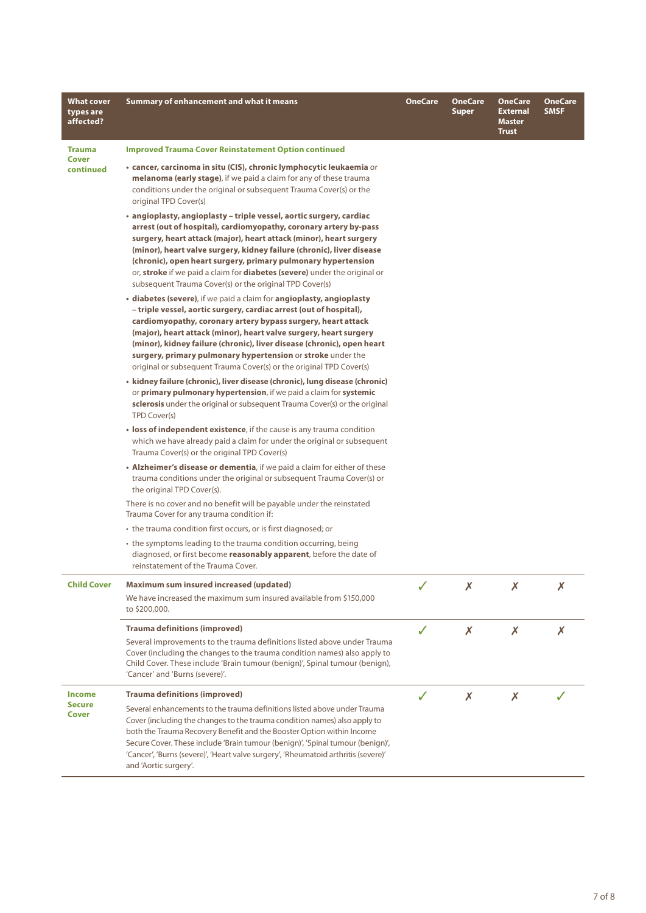| <b>What cover</b><br>types are<br>affected? | <b>Summary of enhancement and what it means</b>                                                                                                                                                                                                                                                                                                                                                                                                                                                  | <b>OneCare</b> | <b>OneCare</b><br><b>Super</b> | <b>OneCare</b><br>External<br><b>Master</b><br><b>Trust</b> | <b>OneCare</b><br><b>SMSF</b> |
|---------------------------------------------|--------------------------------------------------------------------------------------------------------------------------------------------------------------------------------------------------------------------------------------------------------------------------------------------------------------------------------------------------------------------------------------------------------------------------------------------------------------------------------------------------|----------------|--------------------------------|-------------------------------------------------------------|-------------------------------|
| <b>Trauma</b>                               | <b>Improved Trauma Cover Reinstatement Option continued</b>                                                                                                                                                                                                                                                                                                                                                                                                                                      |                |                                |                                                             |                               |
| <b>Cover</b><br>continued                   | • cancer, carcinoma in situ (CIS), chronic lymphocytic leukaemia or<br>melanoma (early stage), if we paid a claim for any of these trauma<br>conditions under the original or subsequent Trauma Cover(s) or the<br>original TPD Cover(s)                                                                                                                                                                                                                                                         |                |                                |                                                             |                               |
|                                             | • angioplasty, angioplasty – triple vessel, aortic surgery, cardiac<br>arrest (out of hospital), cardiomyopathy, coronary artery by-pass<br>surgery, heart attack (major), heart attack (minor), heart surgery<br>(minor), heart valve surgery, kidney failure (chronic), liver disease<br>(chronic), open heart surgery, primary pulmonary hypertension<br>or, stroke if we paid a claim for diabetes (severe) under the original or<br>subsequent Trauma Cover(s) or the original TPD Cover(s) |                |                                |                                                             |                               |
|                                             | · diabetes (severe), if we paid a claim for angioplasty, angioplasty<br>- triple vessel, aortic surgery, cardiac arrest (out of hospital),<br>cardiomyopathy, coronary artery bypass surgery, heart attack<br>(major), heart attack (minor), heart valve surgery, heart surgery<br>(minor), kidney failure (chronic), liver disease (chronic), open heart<br>surgery, primary pulmonary hypertension or stroke under the<br>original or subsequent Trauma Cover(s) or the original TPD Cover(s)  |                |                                |                                                             |                               |
|                                             | · kidney failure (chronic), liver disease (chronic), lung disease (chronic)<br>or primary pulmonary hypertension, if we paid a claim for systemic<br>sclerosis under the original or subsequent Trauma Cover(s) or the original<br>TPD Cover(s)                                                                                                                                                                                                                                                  |                |                                |                                                             |                               |
|                                             | • loss of independent existence, if the cause is any trauma condition<br>which we have already paid a claim for under the original or subsequent<br>Trauma Cover(s) or the original TPD Cover(s)                                                                                                                                                                                                                                                                                                 |                |                                |                                                             |                               |
|                                             | • Alzheimer's disease or dementia, if we paid a claim for either of these<br>trauma conditions under the original or subsequent Trauma Cover(s) or<br>the original TPD Cover(s).                                                                                                                                                                                                                                                                                                                 |                |                                |                                                             |                               |
|                                             | There is no cover and no benefit will be payable under the reinstated<br>Trauma Cover for any trauma condition if:                                                                                                                                                                                                                                                                                                                                                                               |                |                                |                                                             |                               |
|                                             | • the trauma condition first occurs, or is first diagnosed; or                                                                                                                                                                                                                                                                                                                                                                                                                                   |                |                                |                                                             |                               |
|                                             | • the symptoms leading to the trauma condition occurring, being<br>diagnosed, or first become reasonably apparent, before the date of<br>reinstatement of the Trauma Cover.                                                                                                                                                                                                                                                                                                                      |                |                                |                                                             |                               |
| <b>Child Cover</b>                          | Maximum sum insured increased (updated)                                                                                                                                                                                                                                                                                                                                                                                                                                                          |                | х                              |                                                             | х                             |
|                                             | We have increased the maximum sum insured available from \$150,000<br>to \$200,000.                                                                                                                                                                                                                                                                                                                                                                                                              |                |                                |                                                             |                               |
|                                             | <b>Trauma definitions (improved)</b>                                                                                                                                                                                                                                                                                                                                                                                                                                                             | $\checkmark$   | X                              | X                                                           | X                             |
|                                             | Several improvements to the trauma definitions listed above under Trauma<br>Cover (including the changes to the trauma condition names) also apply to<br>Child Cover. These include 'Brain tumour (benign)', Spinal tumour (benign),<br>'Cancer' and 'Burns (severe)'.                                                                                                                                                                                                                           |                |                                |                                                             |                               |
| <b>Income</b>                               | <b>Trauma definitions (improved)</b>                                                                                                                                                                                                                                                                                                                                                                                                                                                             | J              | X                              | X                                                           |                               |
| <b>Secure</b><br>Cover                      | Several enhancements to the trauma definitions listed above under Trauma<br>Cover (including the changes to the trauma condition names) also apply to<br>both the Trauma Recovery Benefit and the Booster Option within Income<br>Secure Cover. These include 'Brain tumour (benign)', 'Spinal tumour (benign)',<br>'Cancer', 'Burns (severe)', 'Heart valve surgery', 'Rheumatoid arthritis (severe)'<br>and 'Aortic surgery'.                                                                  |                |                                |                                                             |                               |